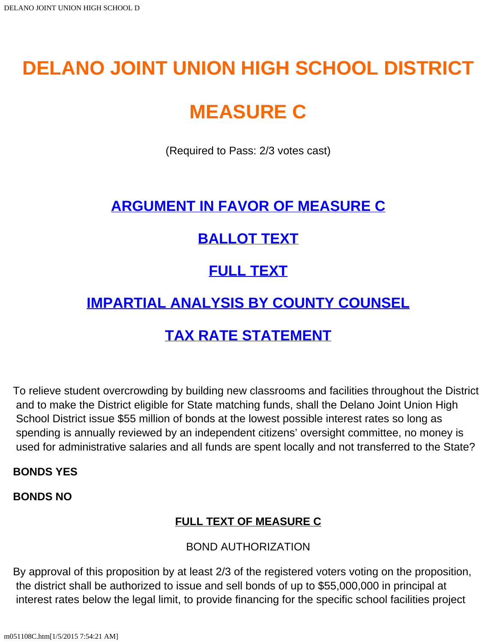# **DELANO JOINT UNION HIGH SCHOOL DISTRICT**

# **MEASURE C**

(Required to Pass: 2/3 votes cast)

### **[ARGUMENT IN FAVOR OF MEASURE C](#page-4-0)**

## **[BALLOT TEXT](#page-0-0)**

# **[FULL TEXT](#page-0-1)**

## **[IMPARTIAL ANALYSIS BY COUNTY COUNSEL](#page-2-0)**

# **[TAX RATE STATEMENT](#page-3-0)**

<span id="page-0-0"></span>To relieve student overcrowding by building new classrooms and facilities throughout the District and to make the District eligible for State matching funds, shall the Delano Joint Union High School District issue \$55 million of bonds at the lowest possible interest rates so long as spending is annually reviewed by an independent citizens' oversight committee, no money is used for administrative salaries and all funds are spent locally and not transferred to the State?

#### **BONDS YES**

<span id="page-0-1"></span>**BONDS NO**

### **FULL TEXT OF MEASURE C**

#### BOND AUTHORIZATION

By approval of this proposition by at least 2/3 of the registered voters voting on the proposition, the district shall be authorized to issue and sell bonds of up to \$55,000,000 in principal at interest rates below the legal limit, to provide financing for the specific school facilities project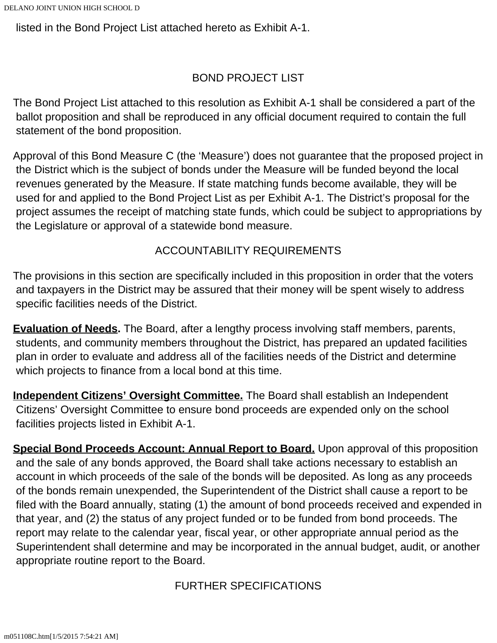listed in the Bond Project List attached hereto as Exhibit A-1.

#### BOND PROJECT LIST

The Bond Project List attached to this resolution as Exhibit A-1 shall be considered a part of the ballot proposition and shall be reproduced in any official document required to contain the full statement of the bond proposition.

Approval of this Bond Measure C (the 'Measure') does not guarantee that the proposed project in the District which is the subject of bonds under the Measure will be funded beyond the local revenues generated by the Measure. If state matching funds become available, they will be used for and applied to the Bond Project List as per Exhibit A-1. The District's proposal for the project assumes the receipt of matching state funds, which could be subject to appropriations by the Legislature or approval of a statewide bond measure.

#### ACCOUNTABILITY REQUIREMENTS

The provisions in this section are specifically included in this proposition in order that the voters and taxpayers in the District may be assured that their money will be spent wisely to address specific facilities needs of the District.

**Evaluation of Needs.** The Board, after a lengthy process involving staff members, parents, students, and community members throughout the District, has prepared an updated facilities plan in order to evaluate and address all of the facilities needs of the District and determine which projects to finance from a local bond at this time.

**Independent Citizens' Oversight Committee.** The Board shall establish an Independent Citizens' Oversight Committee to ensure bond proceeds are expended only on the school facilities projects listed in Exhibit A-1.

**Special Bond Proceeds Account: Annual Report to Board.** Upon approval of this proposition and the sale of any bonds approved, the Board shall take actions necessary to establish an account in which proceeds of the sale of the bonds will be deposited. As long as any proceeds of the bonds remain unexpended, the Superintendent of the District shall cause a report to be filed with the Board annually, stating (1) the amount of bond proceeds received and expended in that year, and (2) the status of any project funded or to be funded from bond proceeds. The report may relate to the calendar year, fiscal year, or other appropriate annual period as the Superintendent shall determine and may be incorporated in the annual budget, audit, or another appropriate routine report to the Board.

FURTHER SPECIFICATIONS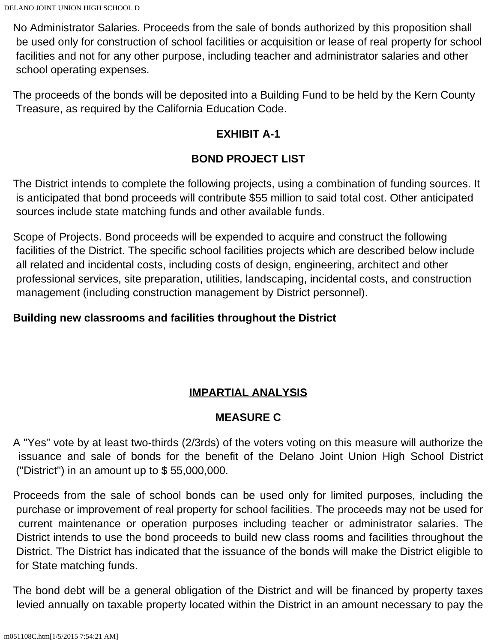No Administrator Salaries. Proceeds from the sale of bonds authorized by this proposition shall be used only for construction of school facilities or acquisition or lease of real property for school facilities and not for any other purpose, including teacher and administrator salaries and other school operating expenses.

The proceeds of the bonds will be deposited into a Building Fund to be held by the Kern County Treasure, as required by the California Education Code.

#### **EXHIBIT A-1**

### **BOND PROJECT LIST**

The District intends to complete the following projects, using a combination of funding sources. It is anticipated that bond proceeds will contribute \$55 million to said total cost. Other anticipated sources include state matching funds and other available funds.

Scope of Projects. Bond proceeds will be expended to acquire and construct the following facilities of the District. The specific school facilities projects which are described below include all related and incidental costs, including costs of design, engineering, architect and other professional services, site preparation, utilities, landscaping, incidental costs, and construction management (including construction management by District personnel).

#### **Building new classrooms and facilities throughout the District**

### **IMPARTIAL ANALYSIS**

#### **MEASURE C**

<span id="page-2-0"></span>A "Yes" vote by at least two-thirds (2/3rds) of the voters voting on this measure will authorize the issuance and sale of bonds for the benefit of the Delano Joint Union High School District ("District") in an amount up to \$ 55,000,000.

Proceeds from the sale of school bonds can be used only for limited purposes, including the purchase or improvement of real property for school facilities. The proceeds may not be used for current maintenance or operation purposes including teacher or administrator salaries. The District intends to use the bond proceeds to build new class rooms and facilities throughout the District. The District has indicated that the issuance of the bonds will make the District eligible to for State matching funds.

The bond debt will be a general obligation of the District and will be financed by property taxes levied annually on taxable property located within the District in an amount necessary to pay the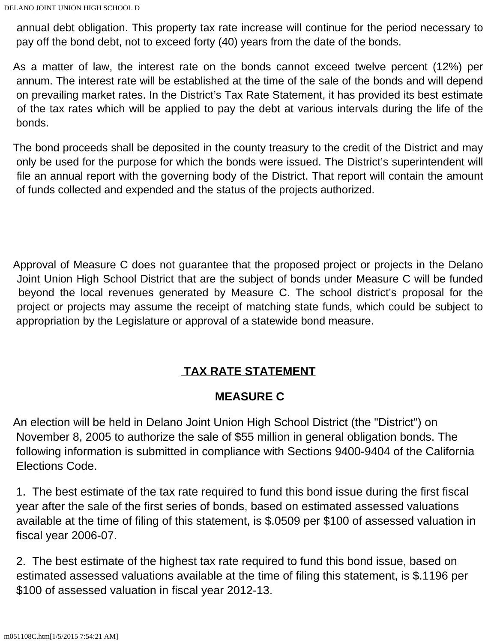annual debt obligation. This property tax rate increase will continue for the period necessary to pay off the bond debt, not to exceed forty (40) years from the date of the bonds.

As a matter of law, the interest rate on the bonds cannot exceed twelve percent (12%) per annum. The interest rate will be established at the time of the sale of the bonds and will depend on prevailing market rates. In the District's Tax Rate Statement, it has provided its best estimate of the tax rates which will be applied to pay the debt at various intervals during the life of the bonds.

The bond proceeds shall be deposited in the county treasury to the credit of the District and may only be used for the purpose for which the bonds were issued. The District's superintendent will file an annual report with the governing body of the District. That report will contain the amount of funds collected and expended and the status of the projects authorized.

Approval of Measure C does not guarantee that the proposed project or projects in the Delano Joint Union High School District that are the subject of bonds under Measure C will be funded beyond the local revenues generated by Measure C. The school district's proposal for the project or projects may assume the receipt of matching state funds, which could be subject to appropriation by the Legislature or approval of a statewide bond measure.

### **TAX RATE STATEMENT**

#### **MEASURE C**

<span id="page-3-0"></span>An election will be held in Delano Joint Union High School District (the "District") on November 8, 2005 to authorize the sale of \$55 million in general obligation bonds. The following information is submitted in compliance with Sections 9400-9404 of the California Elections Code.

1. The best estimate of the tax rate required to fund this bond issue during the first fiscal year after the sale of the first series of bonds, based on estimated assessed valuations available at the time of filing of this statement, is \$.0509 per \$100 of assessed valuation in fiscal year 2006-07.

2. The best estimate of the highest tax rate required to fund this bond issue, based on estimated assessed valuations available at the time of filing this statement, is \$.1196 per \$100 of assessed valuation in fiscal year 2012-13.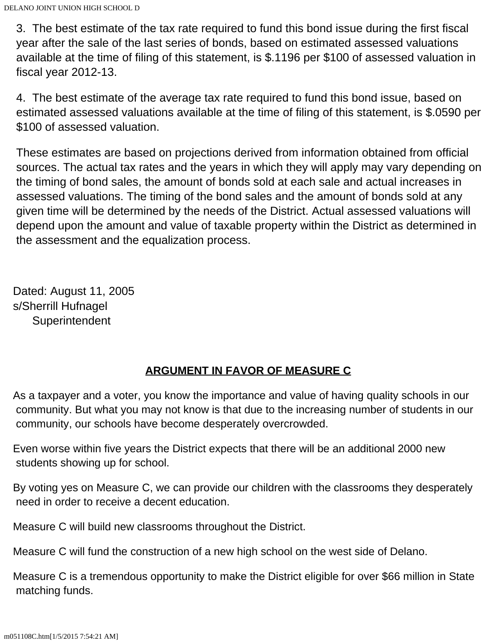3. The best estimate of the tax rate required to fund this bond issue during the first fiscal year after the sale of the last series of bonds, based on estimated assessed valuations available at the time of filing of this statement, is \$.1196 per \$100 of assessed valuation in fiscal year 2012-13.

4. The best estimate of the average tax rate required to fund this bond issue, based on estimated assessed valuations available at the time of filing of this statement, is \$.0590 per \$100 of assessed valuation.

These estimates are based on projections derived from information obtained from official sources. The actual tax rates and the years in which they will apply may vary depending on the timing of bond sales, the amount of bonds sold at each sale and actual increases in assessed valuations. The timing of the bond sales and the amount of bonds sold at any given time will be determined by the needs of the District. Actual assessed valuations will depend upon the amount and value of taxable property within the District as determined in the assessment and the equalization process.

Dated: August 11, 2005 s/Sherrill Hufnagel **Superintendent** 

#### **ARGUMENT IN FAVOR OF MEASURE C**

<span id="page-4-0"></span>As a taxpayer and a voter, you know the importance and value of having quality schools in our community. But what you may not know is that due to the increasing number of students in our community, our schools have become desperately overcrowded.

Even worse within five years the District expects that there will be an additional 2000 new students showing up for school.

By voting yes on Measure C, we can provide our children with the classrooms they desperately need in order to receive a decent education.

Measure C will build new classrooms throughout the District.

Measure C will fund the construction of a new high school on the west side of Delano.

Measure C is a tremendous opportunity to make the District eligible for over \$66 million in State matching funds.